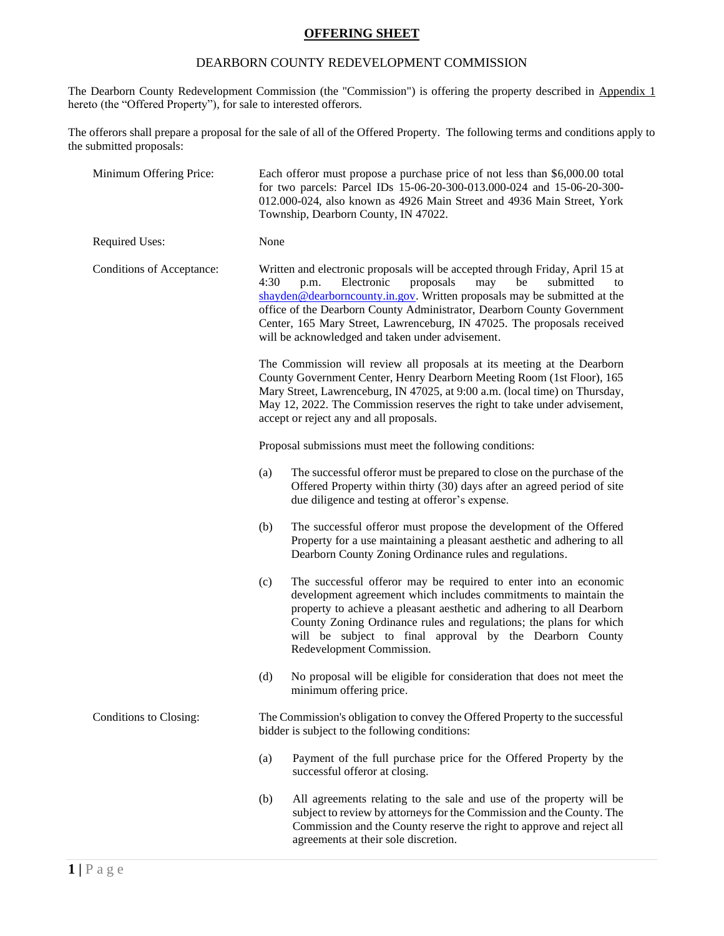### **OFFERING SHEET**

#### DEARBORN COUNTY REDEVELOPMENT COMMISSION

The Dearborn County Redevelopment Commission (the "Commission") is offering the property described in Appendix 1 hereto (the "Offered Property"), for sale to interested offerors.

The offerors shall prepare a proposal for the sale of all of the Offered Property. The following terms and conditions apply to the submitted proposals:

| Minimum Offering Price:   | Each offeror must propose a purchase price of not less than \$6,000.00 total<br>for two parcels: Parcel IDs 15-06-20-300-013.000-024 and 15-06-20-300-<br>012.000-024, also known as 4926 Main Street and 4936 Main Street, York<br>Township, Dearborn County, IN 47022.                                                                                                                                                                       |
|---------------------------|------------------------------------------------------------------------------------------------------------------------------------------------------------------------------------------------------------------------------------------------------------------------------------------------------------------------------------------------------------------------------------------------------------------------------------------------|
| Required Uses:            | None                                                                                                                                                                                                                                                                                                                                                                                                                                           |
| Conditions of Acceptance: | Written and electronic proposals will be accepted through Friday, April 15 at<br>Electronic<br>4:30<br>proposals<br>may<br>be<br>submitted<br>p.m.<br>to<br>shayden@dearborncounty.in.gov. Written proposals may be submitted at the<br>office of the Dearborn County Administrator, Dearborn County Government<br>Center, 165 Mary Street, Lawrenceburg, IN 47025. The proposals received<br>will be acknowledged and taken under advisement. |
|                           | The Commission will review all proposals at its meeting at the Dearborn<br>County Government Center, Henry Dearborn Meeting Room (1st Floor), 165<br>Mary Street, Lawrenceburg, IN 47025, at 9:00 a.m. (local time) on Thursday,<br>May 12, 2022. The Commission reserves the right to take under advisement,<br>accept or reject any and all proposals.                                                                                       |
|                           | Proposal submissions must meet the following conditions:                                                                                                                                                                                                                                                                                                                                                                                       |
|                           | The successful offeror must be prepared to close on the purchase of the<br>(a)<br>Offered Property within thirty (30) days after an agreed period of site<br>due diligence and testing at offeror's expense.                                                                                                                                                                                                                                   |
|                           | (b)<br>The successful offeror must propose the development of the Offered<br>Property for a use maintaining a pleasant aesthetic and adhering to all<br>Dearborn County Zoning Ordinance rules and regulations.                                                                                                                                                                                                                                |
|                           | The successful offeror may be required to enter into an economic<br>(c)<br>development agreement which includes commitments to maintain the<br>property to achieve a pleasant aesthetic and adhering to all Dearborn<br>County Zoning Ordinance rules and regulations; the plans for which<br>will be subject to final approval by the Dearborn County<br>Redevelopment Commission.                                                            |
|                           | No proposal will be eligible for consideration that does not meet the<br>(d)<br>minimum offering price.                                                                                                                                                                                                                                                                                                                                        |
| Conditions to Closing:    | The Commission's obligation to convey the Offered Property to the successful<br>bidder is subject to the following conditions:                                                                                                                                                                                                                                                                                                                 |
|                           | (a)<br>Payment of the full purchase price for the Offered Property by the<br>successful offeror at closing.                                                                                                                                                                                                                                                                                                                                    |
|                           | (b)<br>All agreements relating to the sale and use of the property will be<br>subject to review by attorneys for the Commission and the County. The<br>Commission and the County reserve the right to approve and reject all<br>agreements at their sole discretion.                                                                                                                                                                           |